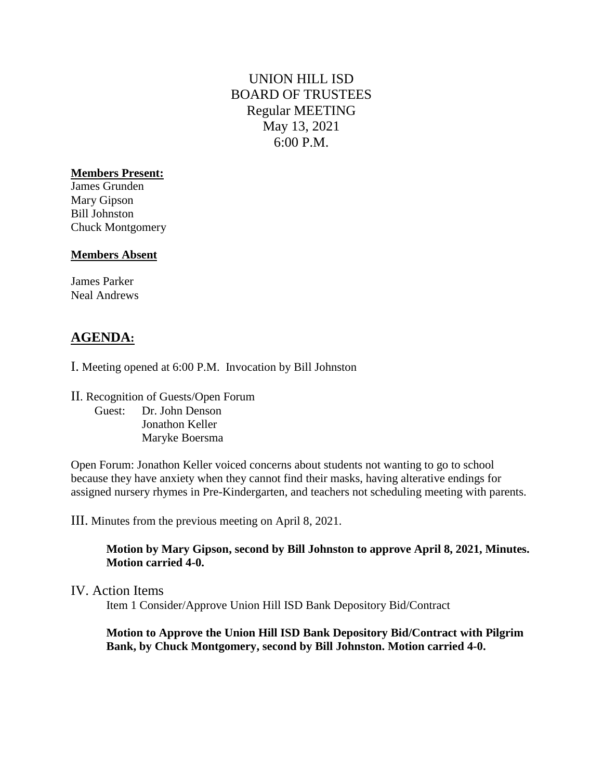# UNION HILL ISD BOARD OF TRUSTEES Regular MEETING May 13, 2021 6:00 P.M.

### **Members Present:**

James Grunden Mary Gipson Bill Johnston Chuck Montgomery

### **Members Absent**

James Parker Neal Andrews

# **AGENDA:**

I. Meeting opened at 6:00 P.M. Invocation by Bill Johnston

II. Recognition of Guests/Open Forum Guest: Dr. John Denson Jonathon Keller Maryke Boersma

Open Forum: Jonathon Keller voiced concerns about students not wanting to go to school because they have anxiety when they cannot find their masks, having alterative endings for assigned nursery rhymes in Pre-Kindergarten, and teachers not scheduling meeting with parents.

III. Minutes from the previous meeting on April 8, 2021.

**Motion by Mary Gipson, second by Bill Johnston to approve April 8, 2021, Minutes. Motion carried 4-0.** 

### IV. Action Items

Item 1 Consider/Approve Union Hill ISD Bank Depository Bid/Contract

#### **Motion to Approve the Union Hill ISD Bank Depository Bid/Contract with Pilgrim Bank, by Chuck Montgomery, second by Bill Johnston. Motion carried 4-0.**